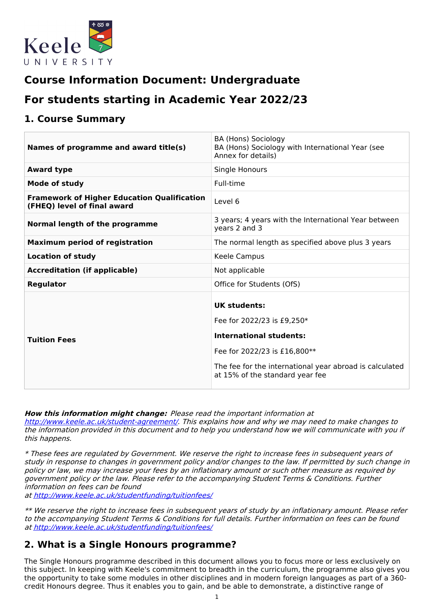

# **Course Information Document: Undergraduate**

# **For students starting in Academic Year 2022/23**

### **1. Course Summary**

| Names of programme and award title(s)                                             | BA (Hons) Sociology<br>BA (Hons) Sociology with International Year (see<br>Annex for details)                                                                                                                     |
|-----------------------------------------------------------------------------------|-------------------------------------------------------------------------------------------------------------------------------------------------------------------------------------------------------------------|
| <b>Award type</b>                                                                 | Single Honours                                                                                                                                                                                                    |
| <b>Mode of study</b>                                                              | Full-time                                                                                                                                                                                                         |
| <b>Framework of Higher Education Qualification</b><br>(FHEQ) level of final award | Level 6                                                                                                                                                                                                           |
| Normal length of the programme                                                    | 3 years; 4 years with the International Year between<br>years 2 and 3                                                                                                                                             |
| <b>Maximum period of registration</b>                                             | The normal length as specified above plus 3 years                                                                                                                                                                 |
| <b>Location of study</b>                                                          | Keele Campus                                                                                                                                                                                                      |
| <b>Accreditation (if applicable)</b>                                              | Not applicable                                                                                                                                                                                                    |
| <b>Regulator</b>                                                                  | Office for Students (OfS)                                                                                                                                                                                         |
| <b>Tuition Fees</b>                                                               | <b>UK students:</b><br>Fee for 2022/23 is £9,250*<br><b>International students:</b><br>Fee for 2022/23 is £16,800**<br>The fee for the international year abroad is calculated<br>at 15% of the standard year fee |

**How this information might change:** Please read the important information at <http://www.keele.ac.uk/student-agreement/>. This explains how and why we may need to make changes to the information provided in this document and to help you understand how we will communicate with you if this happens.

\* These fees are regulated by Government. We reserve the right to increase fees in subsequent years of study in response to changes in government policy and/or changes to the law. If permitted by such change in policy or law, we may increase your fees by an inflationary amount or such other measure as required by government policy or the law. Please refer to the accompanying Student Terms & Conditions. Further information on fees can be found

at <http://www.keele.ac.uk/studentfunding/tuitionfees/>

\*\* We reserve the right to increase fees in subsequent years of study by an inflationary amount. Please refer to the accompanying Student Terms & Conditions for full details. Further information on fees can be found at <http://www.keele.ac.uk/studentfunding/tuitionfees/>

### **2. What is a Single Honours programme?**

The Single Honours programme described in this document allows you to focus more or less exclusively on this subject. In keeping with Keele's commitment to breadth in the curriculum, the programme also gives you the opportunity to take some modules in other disciplines and in modern foreign languages as part of a 360 credit Honours degree. Thus it enables you to gain, and be able to demonstrate, a distinctive range of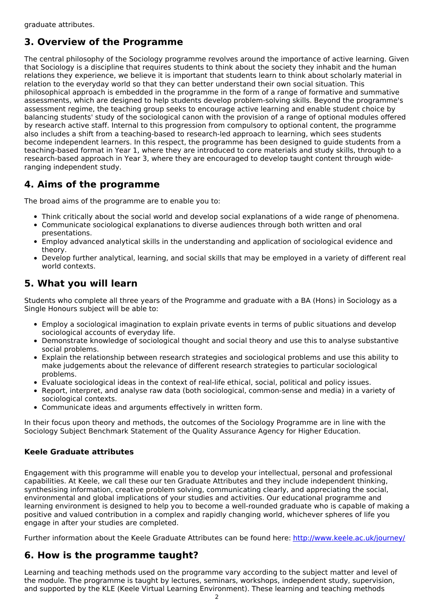## **3. Overview of the Programme**

The central philosophy of the Sociology programme revolves around the importance of active learning. Given that Sociology is a discipline that requires students to think about the society they inhabit and the human relations they experience, we believe it is important that students learn to think about scholarly material in relation to the everyday world so that they can better understand their own social situation. This philosophical approach is embedded in the programme in the form of a range of formative and summative assessments, which are designed to help students develop problem-solving skills. Beyond the programme's assessment regime, the teaching group seeks to encourage active learning and enable student choice by balancing students' study of the sociological canon with the provision of a range of optional modules offered by research active staff. Internal to this progression from compulsory to optional content, the programme also includes a shift from a teaching-based to research-led approach to learning, which sees students become independent learners. In this respect, the programme has been designed to guide students from a teaching-based format in Year 1, where they are introduced to core materials and study skills, through to a research-based approach in Year 3, where they are encouraged to develop taught content through wideranging independent study.

## **4. Aims of the programme**

The broad aims of the programme are to enable you to:

- Think critically about the social world and develop social explanations of a wide range of phenomena.
- Communicate sociological explanations to diverse audiences through both written and oral presentations.
- Employ advanced analytical skills in the understanding and application of sociological evidence and theory.
- Develop further analytical, learning, and social skills that may be employed in a variety of different real world contexts.

## **5. What you will learn**

Students who complete all three years of the Programme and graduate with a BA (Hons) in Sociology as a Single Honours subject will be able to:

- Employ a sociological imagination to explain private events in terms of public situations and develop sociological accounts of everyday life.
- Demonstrate knowledge of sociological thought and social theory and use this to analyse substantive social problems.
- Explain the relationship between research strategies and sociological problems and use this ability to make judgements about the relevance of different research strategies to particular sociological problems.
- Evaluate sociological ideas in the context of real-life ethical, social, political and policy issues.
- Report, interpret, and analyse raw data (both sociological, common-sense and media) in a variety of sociological contexts.
- Communicate ideas and arguments effectively in written form.

In their focus upon theory and methods, the outcomes of the Sociology Programme are in line with the Sociology Subject Benchmark Statement of the Quality Assurance Agency for Higher Education.

### **Keele Graduate attributes**

Engagement with this programme will enable you to develop your intellectual, personal and professional capabilities. At Keele, we call these our ten Graduate Attributes and they include independent thinking, synthesising information, creative problem solving, communicating clearly, and appreciating the social, environmental and global implications of your studies and activities. Our educational programme and learning environment is designed to help you to become a well-rounded graduate who is capable of making a positive and valued contribution in a complex and rapidly changing world, whichever spheres of life you engage in after your studies are completed.

Further information about the Keele Graduate Attributes can be found here: <http://www.keele.ac.uk/journey/>

## **6. How is the programme taught?**

Learning and teaching methods used on the programme vary according to the subject matter and level of the module. The programme is taught by lectures, seminars, workshops, independent study, supervision, and supported by the KLE (Keele Virtual Learning Environment). These learning and teaching methods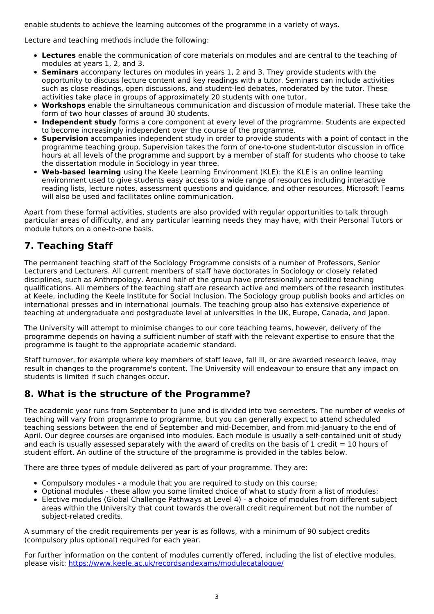enable students to achieve the learning outcomes of the programme in a variety of ways.

Lecture and teaching methods include the following:

- **Lectures** enable the communication of core materials on modules and are central to the teaching of modules at years 1, 2, and 3.
- **Seminars** accompany lectures on modules in years 1, 2 and 3. They provide students with the opportunity to discuss lecture content and key readings with a tutor. Seminars can include activities such as close readings, open discussions, and student-led debates, moderated by the tutor. These activities take place in groups of approximately 20 students with one tutor.
- **Workshops** enable the simultaneous communication and discussion of module material. These take the form of two hour classes of around 30 students.
- **Independent study** forms a core component at every level of the programme. Students are expected to become increasingly independent over the course of the programme.
- **Supervision** accompanies independent study in order to provide students with a point of contact in the programme teaching group. Supervision takes the form of one-to-one student-tutor discussion in office hours at all levels of the programme and support by a member of staff for students who choose to take the dissertation module in Sociology in year three.
- **Web-based learning** using the Keele Learning Environment (KLE): the KLE is an online learning environment used to give students easy access to a wide range of resources including interactive reading lists, lecture notes, assessment questions and guidance, and other resources. Microsoft Teams will also be used and facilitates online communication.

Apart from these formal activities, students are also provided with regular opportunities to talk through particular areas of difficulty, and any particular learning needs they may have, with their Personal Tutors or module tutors on a one-to-one basis.

## **7. Teaching Staff**

The permanent teaching staff of the Sociology Programme consists of a number of Professors, Senior Lecturers and Lecturers. All current members of staff have doctorates in Sociology or closely related disciplines, such as Anthropology. Around half of the group have professionally accredited teaching qualifications. All members of the teaching staff are research active and members of the research institutes at Keele, including the Keele Institute for Social Inclusion. The Sociology group publish books and articles on international presses and in international journals. The teaching group also has extensive experience of teaching at undergraduate and postgraduate level at universities in the UK, Europe, Canada, and Japan.

The University will attempt to minimise changes to our core teaching teams, however, delivery of the programme depends on having a sufficient number of staff with the relevant expertise to ensure that the programme is taught to the appropriate academic standard.

Staff turnover, for example where key members of staff leave, fall ill, or are awarded research leave, may result in changes to the programme's content. The University will endeavour to ensure that any impact on students is limited if such changes occur.

## **8. What is the structure of the Programme?**

The academic year runs from September to June and is divided into two semesters. The number of weeks of teaching will vary from programme to programme, but you can generally expect to attend scheduled teaching sessions between the end of September and mid-December, and from mid-January to the end of April. Our degree courses are organised into modules. Each module is usually a self-contained unit of study and each is usually assessed separately with the award of credits on the basis of 1 credit  $= 10$  hours of student effort. An outline of the structure of the programme is provided in the tables below.

There are three types of module delivered as part of your programme. They are:

- Compulsory modules a module that you are required to study on this course;
- Optional modules these allow you some limited choice of what to study from a list of modules;
- Elective modules (Global Challenge Pathways at Level 4) a choice of modules from different subject areas within the University that count towards the overall credit requirement but not the number of subject-related credits.

A summary of the credit requirements per year is as follows, with a minimum of 90 subject credits (compulsory plus optional) required for each year.

For further information on the content of modules currently offered, including the list of elective modules, please visit: <https://www.keele.ac.uk/recordsandexams/modulecatalogue/>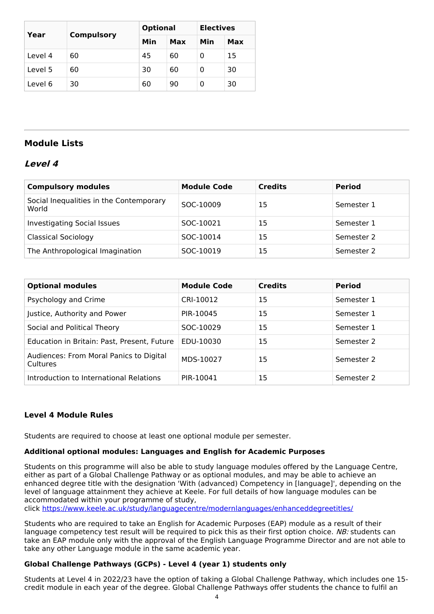| Year    | <b>Compulsory</b> | <b>Optional</b> |     | <b>Electives</b> |     |
|---------|-------------------|-----------------|-----|------------------|-----|
|         |                   | Min             | Max | Min              | Max |
| Level 4 | 60                | 45              | 60  | 0                | 15  |
| Level 5 | 60                | 30              | 60  | 0                | 30  |
| Level 6 | 30                | 60              | 90  | 0                | 30  |

### **Module Lists**

### **Level 4**

| <b>Compulsory modules</b>                        | <b>Module Code</b> | <b>Credits</b> | <b>Period</b> |
|--------------------------------------------------|--------------------|----------------|---------------|
| Social Inequalities in the Contemporary<br>World | SOC-10009          | 15             | Semester 1    |
| <b>Investigating Social Issues</b>               | SOC-10021          | 15             | Semester 1    |
| <b>Classical Sociology</b>                       | SOC-10014          | 15             | Semester 2    |
| The Anthropological Imagination                  | SOC-10019          | 15             | Semester 2    |

| <b>Optional modules</b>                             | <b>Module Code</b> | <b>Credits</b> | <b>Period</b> |
|-----------------------------------------------------|--------------------|----------------|---------------|
| Psychology and Crime                                | CRI-10012          | 15             | Semester 1    |
| Justice, Authority and Power                        | PIR-10045          | 15             | Semester 1    |
| Social and Political Theory                         | SOC-10029          | 15             | Semester 1    |
| Education in Britain: Past, Present, Future         | EDU-10030          | 15             | Semester 2    |
| Audiences: From Moral Panics to Digital<br>Cultures | MDS-10027          | 15             | Semester 2    |
| Introduction to International Relations             | PIR-10041          | 15             | Semester 2    |

### **Level 4 Module Rules**

Students are required to choose at least one optional module per semester.

#### **Additional optional modules: Languages and English for Academic Purposes**

Students on this programme will also be able to study language modules offered by the Language Centre, either as part of a Global Challenge Pathway or as optional modules, and may be able to achieve an enhanced degree title with the designation 'With (advanced) Competency in [language]', depending on the level of language attainment they achieve at Keele. For full details of how language modules can be accommodated within your programme of study,

click <https://www.keele.ac.uk/study/languagecentre/modernlanguages/enhanceddegreetitles/>

Students who are required to take an English for Academic Purposes (EAP) module as a result of their language competency test result will be required to pick this as their first option choice. NB: students can take an EAP module only with the approval of the English Language Programme Director and are not able to take any other Language module in the same academic year.

#### **Global Challenge Pathways (GCPs) - Level 4 (year 1) students only**

Students at Level 4 in 2022/23 have the option of taking a Global Challenge Pathway, which includes one 15 credit module in each year of the degree. Global Challenge Pathways offer students the chance to fulfil an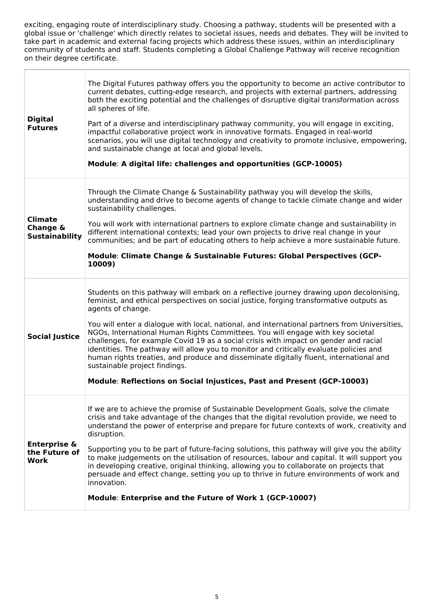exciting, engaging route of interdisciplinary study. Choosing a pathway, students will be presented with a global issue or 'challenge' which directly relates to societal issues, needs and debates. They will be invited to take part in academic and external facing projects which address these issues, within an interdisciplinary community of students and staff. Students completing a Global Challenge Pathway will receive recognition on their degree certificate.

| <b>Digital</b><br><b>Futures</b>                        | The Digital Futures pathway offers you the opportunity to become an active contributor to<br>current debates, cutting-edge research, and projects with external partners, addressing<br>both the exciting potential and the challenges of disruptive digital transformation across<br>all spheres of life.<br>Part of a diverse and interdisciplinary pathway community, you will engage in exciting,<br>impactful collaborative project work in innovative formats. Engaged in real-world<br>scenarios, you will use digital technology and creativity to promote inclusive, empowering,<br>and sustainable change at local and global levels.<br>Module: A digital life: challenges and opportunities (GCP-10005)                                                               |
|---------------------------------------------------------|-----------------------------------------------------------------------------------------------------------------------------------------------------------------------------------------------------------------------------------------------------------------------------------------------------------------------------------------------------------------------------------------------------------------------------------------------------------------------------------------------------------------------------------------------------------------------------------------------------------------------------------------------------------------------------------------------------------------------------------------------------------------------------------|
| <b>Climate</b><br>Change &<br><b>Sustainability</b>     | Through the Climate Change & Sustainability pathway you will develop the skills,<br>understanding and drive to become agents of change to tackle climate change and wider<br>sustainability challenges.<br>You will work with international partners to explore climate change and sustainability in<br>different international contexts; lead your own projects to drive real change in your<br>communities; and be part of educating others to help achieve a more sustainable future.<br>Module: Climate Change & Sustainable Futures: Global Perspectives (GCP-<br>10009)                                                                                                                                                                                                     |
| <b>Social Justice</b>                                   | Students on this pathway will embark on a reflective journey drawing upon decolonising,<br>feminist, and ethical perspectives on social justice, forging transformative outputs as<br>agents of change.<br>You will enter a dialogue with local, national, and international partners from Universities,<br>NGOs, International Human Rights Committees. You will engage with key societal<br>challenges, for example Covid 19 as a social crisis with impact on gender and racial<br>identities. The pathway will allow you to monitor and critically evaluate policies and<br>human rights treaties, and produce and disseminate digitally fluent, international and<br>sustainable project findings.<br>Module: Reflections on Social Injustices, Past and Present (GCP-10003) |
| <b>Enterprise &amp;</b><br>the Future of<br><b>Work</b> | If we are to achieve the promise of Sustainable Development Goals, solve the climate<br>crisis and take advantage of the changes that the digital revolution provide, we need to<br>understand the power of enterprise and prepare for future contexts of work, creativity and<br>disruption.<br>Supporting you to be part of future-facing solutions, this pathway will give you the ability<br>to make judgements on the utilisation of resources, labour and capital. It will support you<br>in developing creative, original thinking, allowing you to collaborate on projects that<br>persuade and effect change, setting you up to thrive in future environments of work and<br>innovation.<br>Module: Enterprise and the Future of Work 1 (GCP-10007)                      |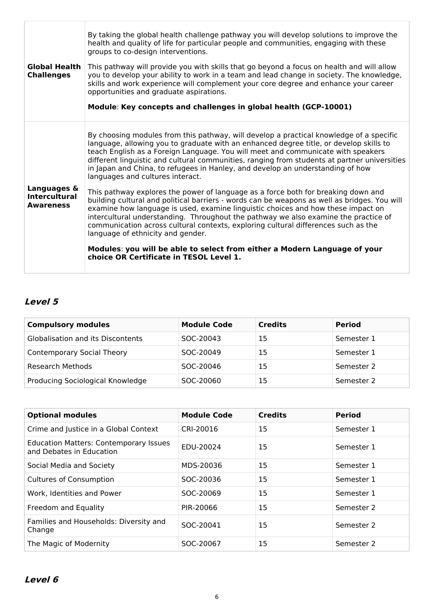| <b>Global Health</b><br><b>Challenges</b>               | By taking the global health challenge pathway you will develop solutions to improve the<br>health and quality of life for particular people and communities, engaging with these<br>groups to co-design interventions.<br>This pathway will provide you with skills that go beyond a focus on health and will allow<br>you to develop your ability to work in a team and lead change in society. The knowledge,<br>skills and work experience will complement your core degree and enhance your career<br>opportunities and graduate aspirations.<br>Module: Key concepts and challenges in global health (GCP-10001) |
|---------------------------------------------------------|-----------------------------------------------------------------------------------------------------------------------------------------------------------------------------------------------------------------------------------------------------------------------------------------------------------------------------------------------------------------------------------------------------------------------------------------------------------------------------------------------------------------------------------------------------------------------------------------------------------------------|
|                                                         | By choosing modules from this pathway, will develop a practical knowledge of a specific<br>language, allowing you to graduate with an enhanced degree title, or develop skills to<br>teach English as a Foreign Language. You will meet and communicate with speakers<br>different linguistic and cultural communities, ranging from students at partner universities<br>in Japan and China, to refugees in Hanley, and develop an understanding of how<br>languages and cultures interact.                                                                                                                           |
| Languages &<br><b>Intercultural</b><br><b>Awareness</b> | This pathway explores the power of language as a force both for breaking down and<br>building cultural and political barriers - words can be weapons as well as bridges. You will<br>examine how language is used, examine linguistic choices and how these impact on<br>intercultural understanding. Throughout the pathway we also examine the practice of<br>communication across cultural contexts, exploring cultural differences such as the<br>language of ethnicity and gender.                                                                                                                               |
|                                                         | Modules: you will be able to select from either a Modern Language of your<br>choice OR Certificate in TESOL Level 1.                                                                                                                                                                                                                                                                                                                                                                                                                                                                                                  |

## **Level 5**

| <b>Compulsory modules</b>         | <b>Module Code</b> | <b>Credits</b> | <b>Period</b> |
|-----------------------------------|--------------------|----------------|---------------|
| Globalisation and its Discontents | SOC-20043          | 15             | Semester 1    |
| <b>Contemporary Social Theory</b> | SOC-20049          | 15             | Semester 1    |
| Research Methods                  | SOC-20046          | 15             | Semester 2    |
| Producing Sociological Knowledge  | SOC-20060          | 15             | Semester 2    |

| <b>Optional modules</b>                                                   | <b>Module Code</b> | <b>Credits</b> | <b>Period</b> |
|---------------------------------------------------------------------------|--------------------|----------------|---------------|
| Crime and Justice in a Global Context                                     | CRI-20016          | 15             | Semester 1    |
| <b>Education Matters: Contemporary Issues</b><br>and Debates in Education | EDU-20024          | 15             | Semester 1    |
| Social Media and Society                                                  | MDS-20036          | 15             | Semester 1    |
| <b>Cultures of Consumption</b>                                            | SOC-20036          | 15             | Semester 1    |
| Work, Identities and Power                                                | SOC-20069          | 15             | Semester 1    |
| Freedom and Equality                                                      | PIR-20066          | 15             | Semester 2    |
| Families and Households: Diversity and<br>Change                          | SOC-20041          | 15             | Semester 2    |
| The Magic of Modernity                                                    | SOC-20067          | 15             | Semester 2    |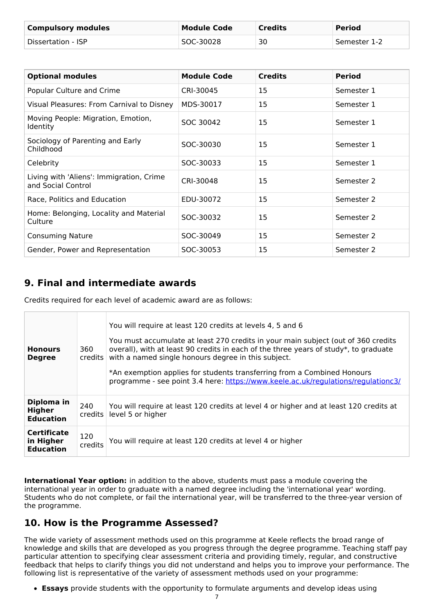| <b>Compulsory modules</b> | <b>Module Code</b> | <b>Credits</b> | <b>Period</b> |
|---------------------------|--------------------|----------------|---------------|
| Dissertation - ISP        | SOC-30028          | 30             | Semester 1-2  |

| <b>Optional modules</b>                                        | <b>Module Code</b> | <b>Credits</b> | <b>Period</b> |
|----------------------------------------------------------------|--------------------|----------------|---------------|
| Popular Culture and Crime                                      | CRI-30045          | 15             | Semester 1    |
| Visual Pleasures: From Carnival to Disney                      | MDS-30017          | 15             | Semester 1    |
| Moving People: Migration, Emotion,<br><b>Identity</b>          | SOC 30042          | 15             | Semester 1    |
| Sociology of Parenting and Early<br>Childhood                  | SOC-30030          | 15             | Semester 1    |
| Celebrity                                                      | SOC-30033          | 15             | Semester 1    |
| Living with 'Aliens': Immigration, Crime<br>and Social Control | CRI-30048          | 15             | Semester 2    |
| Race, Politics and Education                                   | EDU-30072          | 15             | Semester 2    |
| Home: Belonging, Locality and Material<br>Culture              | SOC-30032          | 15             | Semester 2    |
| <b>Consuming Nature</b>                                        | SOC-30049          | 15             | Semester 2    |
| Gender, Power and Representation                               | SOC-30053          | 15             | Semester 2    |

## **9. Final and intermediate awards**

Credits required for each level of academic award are as follows:

| <b>Honours</b><br><b>Degree</b>                     | 360<br>credits l | You will require at least 120 credits at levels 4, 5 and 6<br>You must accumulate at least 270 credits in your main subject (out of 360 credits<br>overall), with at least 90 credits in each of the three years of study*, to graduate<br>with a named single honours degree in this subject.<br>*An exemption applies for students transferring from a Combined Honours<br>programme - see point 3.4 here: https://www.keele.ac.uk/regulations/regulationc3/ |
|-----------------------------------------------------|------------------|----------------------------------------------------------------------------------------------------------------------------------------------------------------------------------------------------------------------------------------------------------------------------------------------------------------------------------------------------------------------------------------------------------------------------------------------------------------|
| Diploma in<br>Higher<br><b>Education</b>            | 240<br>credits   | You will require at least 120 credits at level 4 or higher and at least 120 credits at<br>level 5 or higher                                                                                                                                                                                                                                                                                                                                                    |
| <b>Certificate</b><br>in Higher<br><b>Education</b> | 120<br>credits   | You will require at least 120 credits at level 4 or higher                                                                                                                                                                                                                                                                                                                                                                                                     |

**International Year option:** in addition to the above, students must pass a module covering the international year in order to graduate with a named degree including the 'international year' wording. Students who do not complete, or fail the international year, will be transferred to the three-year version of the programme.

### **10. How is the Programme Assessed?**

The wide variety of assessment methods used on this programme at Keele reflects the broad range of knowledge and skills that are developed as you progress through the degree programme. Teaching staff pay particular attention to specifying clear assessment criteria and providing timely, regular, and constructive feedback that helps to clarify things you did not understand and helps you to improve your performance. The following list is representative of the variety of assessment methods used on your programme:

**Essays** provide students with the opportunity to formulate arguments and develop ideas using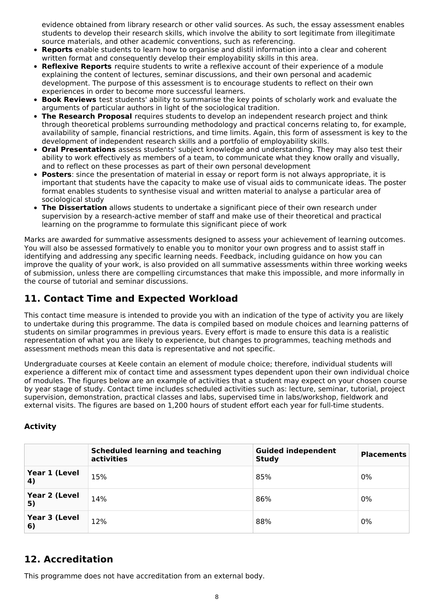evidence obtained from library research or other valid sources. As such, the essay assessment enables students to develop their research skills, which involve the ability to sort legitimate from illegitimate source materials, and other academic conventions, such as referencing.

- **Reports** enable students to learn how to organise and distil information into a clear and coherent written format and consequently develop their employability skills in this area.
- **Reflexive Reports** require students to write a reflexive account of their experience of a module explaining the content of lectures, seminar discussions, and their own personal and academic development. The purpose of this assessment is to encourage students to reflect on their own experiences in order to become more successful learners.
- **Book Reviews** test students' ability to summarise the key points of scholarly work and evaluate the arguments of particular authors in light of the sociological tradition.
- **The Research Proposal** requires students to develop an independent research project and think through theoretical problems surrounding methodology and practical concerns relating to, for example, availability of sample, financial restrictions, and time limits. Again, this form of assessment is key to the development of independent research skills and a portfolio of employability skills.
- **Oral Presentations** assess students' subject knowledge and understanding. They may also test their ability to work effectively as members of a team, to communicate what they know orally and visually, and to reflect on these processes as part of their own personal development
- **Posters**: since the presentation of material in essay or report form is not always appropriate, it is important that students have the capacity to make use of visual aids to communicate ideas. The poster format enables students to synthesise visual and written material to analyse a particular area of sociological study
- **The Dissertation** allows students to undertake a significant piece of their own research under supervision by a research-active member of staff and make use of their theoretical and practical learning on the programme to formulate this significant piece of work

Marks are awarded for summative assessments designed to assess your achievement of learning outcomes. You will also be assessed formatively to enable you to monitor your own progress and to assist staff in identifying and addressing any specific learning needs. Feedback, including guidance on how you can improve the quality of your work, is also provided on all summative assessments within three working weeks of submission, unless there are compelling circumstances that make this impossible, and more informally in the course of tutorial and seminar discussions.

## **11. Contact Time and Expected Workload**

This contact time measure is intended to provide you with an indication of the type of activity you are likely to undertake during this programme. The data is compiled based on module choices and learning patterns of students on similar programmes in previous years. Every effort is made to ensure this data is a realistic representation of what you are likely to experience, but changes to programmes, teaching methods and assessment methods mean this data is representative and not specific.

Undergraduate courses at Keele contain an element of module choice; therefore, individual students will experience a different mix of contact time and assessment types dependent upon their own individual choice of modules. The figures below are an example of activities that a student may expect on your chosen course by year stage of study. Contact time includes scheduled activities such as: lecture, seminar, tutorial, project supervision, demonstration, practical classes and labs, supervised time in labs/workshop, fieldwork and external visits. The figures are based on 1,200 hours of student effort each year for full-time students.

### **Activity**

|                     | <b>Scheduled learning and teaching</b><br>activities | <b>Guided independent</b><br><b>Study</b> | <b>Placements</b> |
|---------------------|------------------------------------------------------|-------------------------------------------|-------------------|
| Year 1 (Level<br>4) | 15%                                                  | 85%                                       | 0%                |
| Year 2 (Level<br>5) | 14%                                                  | 86%                                       | 0%                |
| Year 3 (Level<br>6) | 12%                                                  | 88%                                       | 0%                |

### **12. Accreditation**

This programme does not have accreditation from an external body.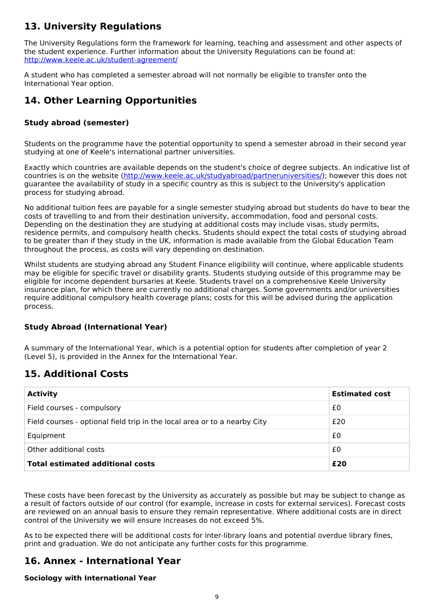## **13. University Regulations**

The University Regulations form the framework for learning, teaching and assessment and other aspects of the student experience. Further information about the University Regulations can be found at: <http://www.keele.ac.uk/student-agreement/>

A student who has completed a semester abroad will not normally be eligible to transfer onto the International Year option.

### **14. Other Learning Opportunities**

### **Study abroad (semester)**

Students on the programme have the potential opportunity to spend a semester abroad in their second year studying at one of Keele's international partner universities.

Exactly which countries are available depends on the student's choice of degree subjects. An indicative list of countries is on the website (<http://www.keele.ac.uk/studyabroad/partneruniversities/>); however this does not guarantee the availability of study in a specific country as this is subject to the University's application process for studying abroad.

No additional tuition fees are payable for a single semester studying abroad but students do have to bear the costs of travelling to and from their destination university, accommodation, food and personal costs. Depending on the destination they are studying at additional costs may include visas, study permits, residence permits, and compulsory health checks. Students should expect the total costs of studying abroad to be greater than if they study in the UK, information is made available from the Global Education Team throughout the process, as costs will vary depending on destination.

Whilst students are studying abroad any Student Finance eligibility will continue, where applicable students may be eligible for specific travel or disability grants. Students studying outside of this programme may be eligible for income dependent bursaries at Keele. Students travel on a comprehensive Keele University insurance plan, for which there are currently no additional charges. Some governments and/or universities require additional compulsory health coverage plans; costs for this will be advised during the application process.

### **Study Abroad (International Year)**

A summary of the International Year, which is a potential option for students after completion of year 2 (Level 5), is provided in the Annex for the International Year.

### **15. Additional Costs**

| <b>Activity</b>                                                           | <b>Estimated cost</b> |
|---------------------------------------------------------------------------|-----------------------|
| Field courses - compulsory                                                | £0                    |
| Field courses - optional field trip in the local area or to a nearby City | £20                   |
| Equipment                                                                 | £0                    |
| Other additional costs                                                    | £0                    |
| <b>Total estimated additional costs</b>                                   | £20                   |

These costs have been forecast by the University as accurately as possible but may be subject to change as a result of factors outside of our control (for example, increase in costs for external services). Forecast costs are reviewed on an annual basis to ensure they remain representative. Where additional costs are in direct control of the University we will ensure increases do not exceed 5%.

As to be expected there will be additional costs for inter-library loans and potential overdue library fines, print and graduation. We do not anticipate any further costs for this programme.

### **16. Annex - International Year**

### **Sociology with International Year**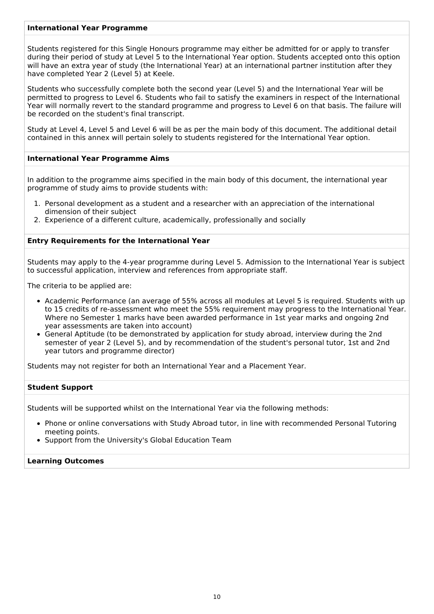#### **International Year Programme**

Students registered for this Single Honours programme may either be admitted for or apply to transfer during their period of study at Level 5 to the International Year option. Students accepted onto this option will have an extra year of study (the International Year) at an international partner institution after they have completed Year 2 (Level 5) at Keele.

Students who successfully complete both the second year (Level 5) and the International Year will be permitted to progress to Level 6. Students who fail to satisfy the examiners in respect of the International Year will normally revert to the standard programme and progress to Level 6 on that basis. The failure will be recorded on the student's final transcript.

Study at Level 4, Level 5 and Level 6 will be as per the main body of this document. The additional detail contained in this annex will pertain solely to students registered for the International Year option.

#### **International Year Programme Aims**

In addition to the programme aims specified in the main body of this document, the international year programme of study aims to provide students with:

- 1. Personal development as a student and a researcher with an appreciation of the international dimension of their subject
- 2. Experience of a different culture, academically, professionally and socially

#### **Entry Requirements for the International Year**

Students may apply to the 4-year programme during Level 5. Admission to the International Year is subject to successful application, interview and references from appropriate staff.

The criteria to be applied are:

- Academic Performance (an average of 55% across all modules at Level 5 is required. Students with up to 15 credits of re-assessment who meet the 55% requirement may progress to the International Year. Where no Semester 1 marks have been awarded performance in 1st year marks and ongoing 2nd year assessments are taken into account)
- General Aptitude (to be demonstrated by application for study abroad, interview during the 2nd semester of year 2 (Level 5), and by recommendation of the student's personal tutor, 1st and 2nd year tutors and programme director)

Students may not register for both an International Year and a Placement Year.

#### **Student Support**

Students will be supported whilst on the International Year via the following methods:

- Phone or online conversations with Study Abroad tutor, in line with recommended Personal Tutoring meeting points.
- Support from the University's Global Education Team

#### **Learning Outcomes**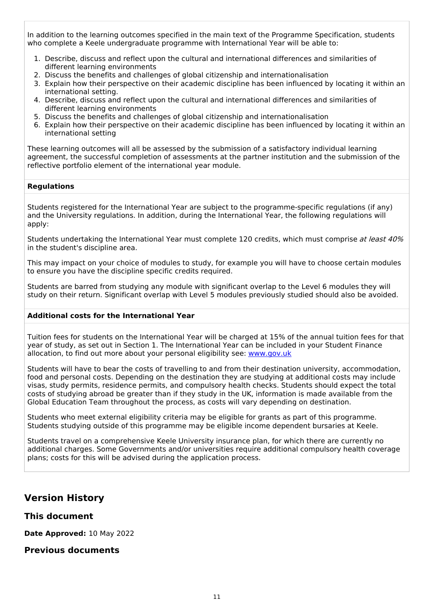In addition to the learning outcomes specified in the main text of the Programme Specification, students who complete a Keele undergraduate programme with International Year will be able to:

- 1. Describe, discuss and reflect upon the cultural and international differences and similarities of different learning environments
- 2. Discuss the benefits and challenges of global citizenship and internationalisation
- 3. Explain how their perspective on their academic discipline has been influenced by locating it within an international setting.
- 4. Describe, discuss and reflect upon the cultural and international differences and similarities of different learning environments
- 5. Discuss the benefits and challenges of global citizenship and internationalisation
- 6. Explain how their perspective on their academic discipline has been influenced by locating it within an international setting

These learning outcomes will all be assessed by the submission of a satisfactory individual learning agreement, the successful completion of assessments at the partner institution and the submission of the reflective portfolio element of the international year module.

#### **Regulations**

Students registered for the International Year are subject to the programme-specific regulations (if any) and the University regulations. In addition, during the International Year, the following regulations will apply:

Students undertaking the International Year must complete 120 credits, which must comprise at least 40% in the student's discipline area.

This may impact on your choice of modules to study, for example you will have to choose certain modules to ensure you have the discipline specific credits required.

Students are barred from studying any module with significant overlap to the Level 6 modules they will study on their return. Significant overlap with Level 5 modules previously studied should also be avoided.

#### **Additional costs for the International Year**

Tuition fees for students on the International Year will be charged at 15% of the annual tuition fees for that year of study, as set out in Section 1. The International Year can be included in your Student Finance allocation, to find out more about your personal eligibility see: [www.gov.uk](http://www.gov.uk/)

Students will have to bear the costs of travelling to and from their destination university, accommodation, food and personal costs. Depending on the destination they are studying at additional costs may include visas, study permits, residence permits, and compulsory health checks. Students should expect the total costs of studying abroad be greater than if they study in the UK, information is made available from the Global Education Team throughout the process, as costs will vary depending on destination.

Students who meet external eligibility criteria may be eligible for grants as part of this programme. Students studying outside of this programme may be eligible income dependent bursaries at Keele.

Students travel on a comprehensive Keele University insurance plan, for which there are currently no additional charges. Some Governments and/or universities require additional compulsory health coverage plans; costs for this will be advised during the application process.

### **Version History**

**This document**

**Date Approved:** 10 May 2022

### **Previous documents**